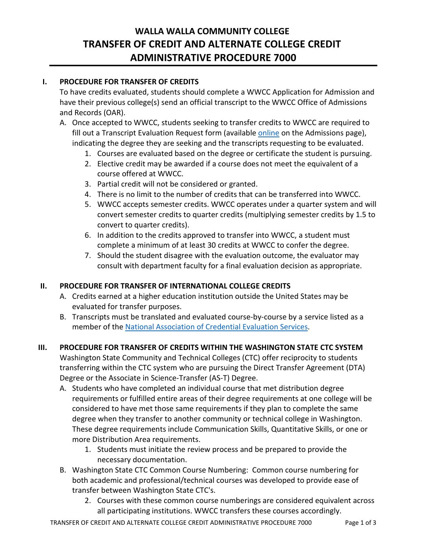# **WALLA WALLA COMMUNITY COLLEGE TRANSFER OF CREDIT AND ALTERNATE COLLEGE CREDIT ADMINISTRATIVE PROCEDURE 7000**

## **I. PROCEDURE FOR TRANSFER OF CREDITS**

To have credits evaluated, students should complete a WWCC Application for Admission and have their previous college(s) send an official transcript to the WWCC Office of Admissions and Records (OAR).

- A. Once accepted to WWCC, students seeking to transfer credits to WWCC are required to fill out a Transcript Evaluation Request form (available [online](https://apps.wwcc.edu/oar/transcript-evaluation-request/) on the Admissions page), indicating the degree they are seeking and the transcripts requesting to be evaluated.
	- 1. Courses are evaluated based on the degree or certificate the student is pursuing.
	- 2. Elective credit may be awarded if a course does not meet the equivalent of a course offered at WWCC.
	- 3. Partial credit will not be considered or granted.
	- 4. There is no limit to the number of credits that can be transferred into WWCC.
	- 5. WWCC accepts semester credits. WWCC operates under a quarter system and will convert semester credits to quarter credits (multiplying semester credits by 1.5 to convert to quarter credits).
	- 6. In addition to the credits approved to transfer into WWCC, a student must complete a minimum of at least 30 credits at WWCC to confer the degree.
	- 7. Should the student disagree with the evaluation outcome, the evaluator may consult with department faculty for a final evaluation decision as appropriate.

# **II. PROCEDURE FOR TRANSFER OF INTERNATIONAL COLLEGE CREDITS**

- A. Credits earned at a higher education institution outside the United States may be evaluated for transfer purposes.
- B. Transcripts must be translated and evaluated course-by-course by a service listed as a member of the [National Association of Credential Evaluation Services](https://www.naces.org/members).

#### **III. PROCEDURE FOR TRANSFER OF CREDITS WITHIN THE WASHINGTON STATE CTC SYSTEM**

Washington State Community and Technical Colleges (CTC) offer reciprocity to students transferring within the CTC system who are pursuing the Direct Transfer Agreement (DTA) Degree or the Associate in Science-Transfer (AS-T) Degree. 

- A. Students who have completed an individual course that met distribution degree requirements or fulfilled entire areas of their degree requirements at one college will be considered to have met those same requirements if they plan to complete the same degree when they transfer to another community or technical college in Washington. These degree requirements include Communication Skills, Quantitative Skills, or one or more Distribution Area requirements.
	- 1. Students must initiate the review process and be prepared to provide the necessary documentation.
- B. Washington State CTC Common Course Numbering: Common course numbering for both academic and professional/technical courses was developed to provide ease of transfer between Washington State CTC's.
	- 2. Courses with these common course numberings are considered equivalent across all participating institutions. WWCC transfers these courses accordingly.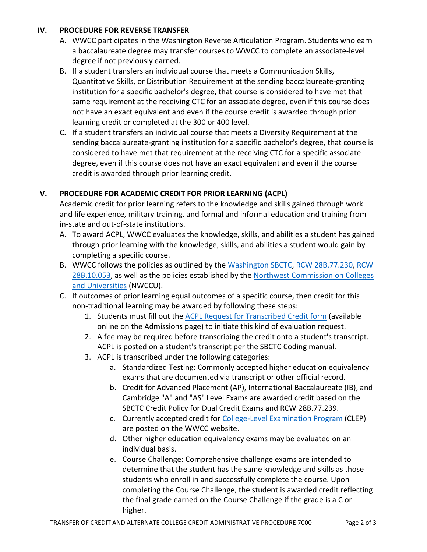### **IV. PROCEDURE FOR REVERSE TRANSFER**

- A. WWCC participates in the Washington Reverse Articulation Program. Students who earn a baccalaureate degree may transfer courses to WWCC to complete an associate-level degree if not previously earned.
- B. If a student transfers an individual course that meets a Communication Skills, Quantitative Skills, or Distribution Requirement at the sending baccalaureate-granting institution for a specific bachelor's degree, that course is considered to have met that same requirement at the receiving CTC for an associate degree, even if this course does not have an exact equivalent and even if the course credit is awarded through prior learning credit or completed at the 300 or 400 level.
- C. If a student transfers an individual course that meets a Diversity Requirement at the sending baccalaureate-granting institution for a specific bachelor's degree, that course is considered to have met that requirement at the receiving CTC for a specific associate degree, even if this course does not have an exact equivalent and even if the course credit is awarded through prior learning credit.

# **V. PROCEDURE FOR ACADEMIC CREDIT FOR PRIOR LEARNING (ACPL)**

Academic credit for prior learning refers to the knowledge and skills gained through work and life experience, military training, and formal and informal education and training from in-state and out-of-state institutions.

- A. To award ACPL, WWCC evaluates the knowledge, skills, and abilities a student has gained through prior learning with the knowledge, skills, and abilities a student would gain by completing a specific course.
- B. WWCC follows the policies as outlined by the [Washington SBCTC,](https://www.sbctc.edu/) [RCW 28B.77.230,](https://apps.leg.wa.gov/rcw/default.aspx?cite=28B.77.230) [RCW](https://app.leg.wa.gov/RCW/default.aspx?cite=28B.10.053)  [28B.10.053,](https://app.leg.wa.gov/RCW/default.aspx?cite=28B.10.053) as well as the policies established by the [Northwest Commission on Colleges](https://nwccu.org/)  [and Universities](https://nwccu.org/) (NWCCU).
- C. If outcomes of prior learning equal outcomes of a specific course, then credit for this non-traditional learning may be awarded by following these steps:
	- 1. Students must fill out the **ACPL Request for Transcribed Credit form** (available online on the Admissions page) to initiate this kind of evaluation request.
	- 2. A fee may be required before transcribing the credit onto a student's transcript. ACPL is posted on a student's transcript per the SBCTC Coding manual.
	- 3. ACPL is transcribed under the following categories:
		- a. Standardized Testing: Commonly accepted higher education equivalency exams that are documented via transcript or other official record.
		- b. Credit for Advanced Placement (AP), International Baccalaureate (IB), and Cambridge "A" and "AS" Level Exams are awarded credit based on the SBCTC Credit Policy for Dual Credit Exams and RCW 28B.77.239.
		- c. Currently accepted credit for [College-Level Examination Program](https://www.wwcc.edu/testing/credit-by-exam/) (CLEP) are posted on the WWCC website.
		- d. Other higher education equivalency exams may be evaluated on an individual basis.
		- e. Course Challenge: Comprehensive challenge exams are intended to determine that the student has the same knowledge and skills as those students who enroll in and successfully complete the course. Upon completing the Course Challenge, the student is awarded credit reflecting the final grade earned on the Course Challenge if the grade is a C or higher.